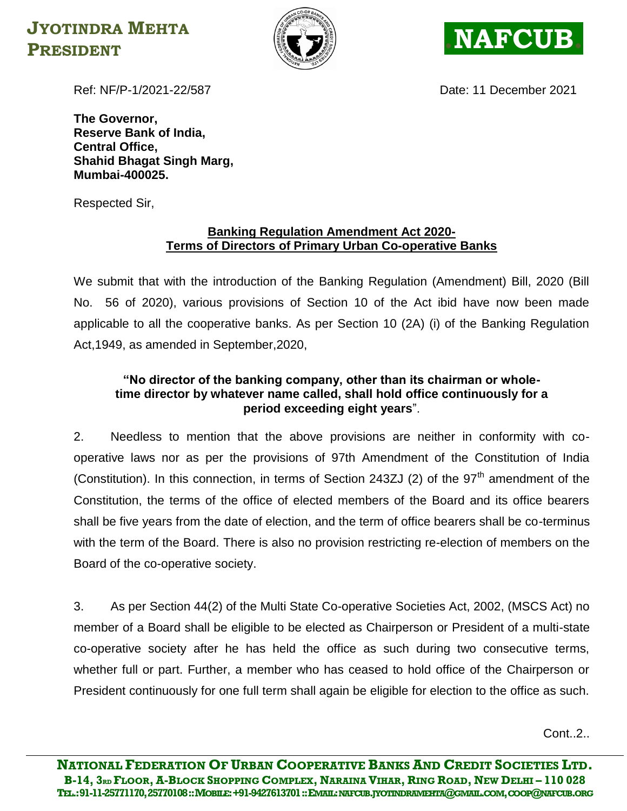## **JYOTINDRA MEHTA PRESIDENT RESIDENT**





Ref: NF/P-1/2021-22/587 Date: 11 December 2021

**The Governor, Reserve Bank of India, Central Office, Shahid Bhagat Singh Marg, Mumbai-400025.**

Respected Sir,

## **Banking Regulation Amendment Act 2020- Terms of Directors of Primary Urban Co-operative Banks**

We submit that with the introduction of the Banking Regulation (Amendment) Bill, 2020 (Bill No. 56 of 2020), various provisions of Section 10 of the Act ibid have now been made applicable to all the cooperative banks. As per Section 10 (2A) (i) of the Banking Regulation Act,1949, as amended in September,2020,

## **"No director of the banking company, other than its chairman or wholetime director by whatever name called, shall hold office continuously for a period exceeding eight years**".

2. Needless to mention that the above provisions are neither in conformity with cooperative laws nor as per the provisions of 97th Amendment of the Constitution of India (Constitution). In this connection, in terms of Section 243ZJ (2) of the  $97<sup>th</sup>$  amendment of the Constitution, the terms of the office of elected members of the Board and its office bearers shall be five years from the date of election, and the term of office bearers shall be co-terminus with the term of the Board. There is also no provision restricting re-election of members on the Board of the co-operative society.

3. As per Section 44(2) of the Multi State Co-operative Societies Act, 2002, (MSCS Act) no member of a Board shall be eligible to be elected as Chairperson or President of a multi-state co-operative society after he has held the office as such during two consecutive terms, whether full or part. Further, a member who has ceased to hold office of the Chairperson or President continuously for one full term shall again be eligible for election to the office as such.

 $Cont.2.$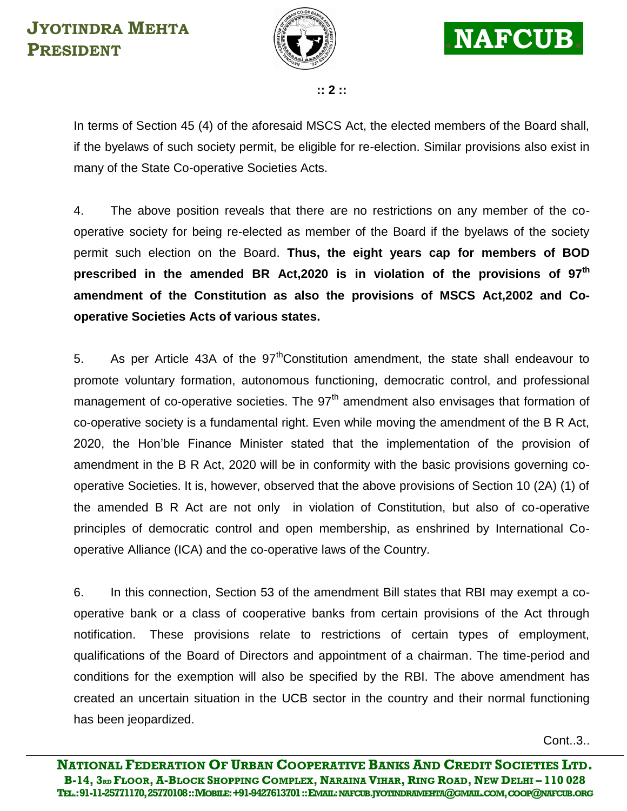



**:: 2 ::**

In terms of Section 45 (4) of the aforesaid MSCS Act, the elected members of the Board shall, if the byelaws of such society permit, be eligible for re-election. Similar provisions also exist in many of the State Co-operative Societies Acts.

4. The above position reveals that there are no restrictions on any member of the cooperative society for being re-elected as member of the Board if the byelaws of the society permit such election on the Board. **Thus, the eight years cap for members of BOD prescribed in the amended BR Act,2020 is in violation of the provisions of 97th amendment of the Constitution as also the provisions of MSCS Act,2002 and Cooperative Societies Acts of various states.**

5. As per Article 43A of the  $97<sup>th</sup>$ Constitution amendment, the state shall endeavour to promote voluntary formation, autonomous functioning, democratic control, and professional management of co-operative societies. The  $97<sup>th</sup>$  amendment also envisages that formation of co-operative society is a fundamental right. Even while moving the amendment of the B R Act, 2020, the Hon'ble Finance Minister stated that the implementation of the provision of amendment in the B R Act, 2020 will be in conformity with the basic provisions governing cooperative Societies. It is, however, observed that the above provisions of Section 10 (2A) (1) of the amended B R Act are not only in violation of Constitution, but also of co-operative principles of democratic control and open membership, as enshrined by International Cooperative Alliance (ICA) and the co-operative laws of the Country.

6. In this connection, Section 53 of the amendment Bill states that RBI may exempt a cooperative bank or a class of cooperative banks from certain provisions of the Act through notification. These provisions relate to restrictions of certain types of employment, qualifications of the Board of Directors and appointment of a chairman. The time-period and conditions for the exemption will also be specified by the RBI. The above amendment has created an uncertain situation in the UCB sector in the country and their normal functioning has been jeopardized.